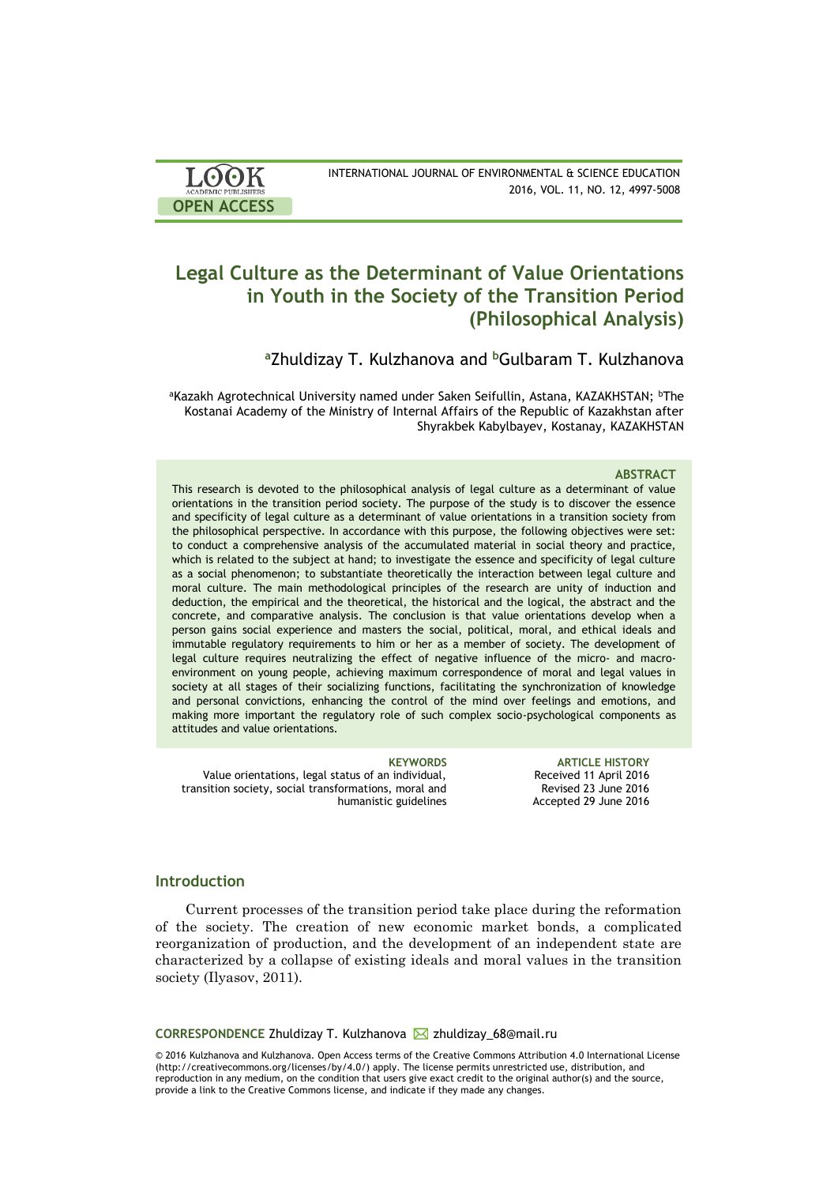| LOOK                       | INTERNATIONAL JOURNAL OF ENVIRONMENTAL & SCIENCE EDUCATION |
|----------------------------|------------------------------------------------------------|
| <b>ACADEMIC PUBLISHERS</b> | 2016, VOL. 11, NO. 12, 4997-5008                           |
| <b>OPEN ACCESS</b>         |                                                            |

# **Legal Culture as the Determinant of Value Orientations in Youth in the Society of the Transition Period (Philosophical Analysis)**

**<sup>a</sup>**Zhuldizay T. Kulzhanova and **<sup>b</sup>**Gulbaram T. Kulzhanova

aKazakh Agrotechnical University named under Saken Seifullin, Astana, KAZAKHSTAN; bThe Kostanai Academy of the Ministry of Internal Affairs of the Republic of Kazakhstan after Shyrakbek Kabylbayev, Kostanay, KAZAKHSTAN

### **ABSTRACT**

This research is devoted to the philosophical analysis of legal culture as a determinant of value orientations in the transition period society. The purpose of the study is to discover the essence and specificity of legal culture as a determinant of value orientations in a transition society from the philosophical perspective. In accordance with this purpose, the following objectives were set: to conduct a comprehensive analysis of the accumulated material in social theory and practice, which is related to the subject at hand; to investigate the essence and specificity of legal culture as a social phenomenon; to substantiate theoretically the interaction between legal culture and moral culture. The main methodological principles of the research are unity of induction and deduction, the empirical and the theoretical, the historical and the logical, the abstract and the concrete, and comparative analysis. The conclusion is that value orientations develop when a person gains social experience and masters the social, political, moral, and ethical ideals and immutable regulatory requirements to him or her as a member of society. The development of legal culture requires neutralizing the effect of negative influence of the micro- and macroenvironment on young people, achieving maximum correspondence of moral and legal values in society at all stages of their socializing functions, facilitating the synchronization of knowledge and personal convictions, enhancing the control of the mind over feelings and emotions, and making more important the regulatory role of such complex socio-psychological components as attitudes and value orientations.

Value orientations, legal status of an individual, transition society, social transformations, moral and humanistic guidelines

**KEYWORDS ARTICLE HISTORY** Received 11 April 2016 Revised 23 June 2016 Accepted 29 June 2016

## **Introduction**

Current processes of the transition period take place during the reformation of the society. The creation of new economic market bonds, a complicated reorganization of production, and the development of an independent state are characterized by a collapse of existing ideals and moral values in the transition society (Ilyasov, 2011).

**CORRESPONDENCE Zhuldizay T. Kulzhanova ⊠ zhuldizay\_68@mail.ru** 

© 2016 Kulzhanova and Kulzhanova. Open Access terms of the Creative Commons Attribution 4.0 International License (http://creativecommons.org/licenses/by/4.0/) apply. The license permits unrestricted use, distribution, and reproduction in any medium, on the condition that users give exact credit to the original author(s) and the source, provide a link to the Creative Commons license, and indicate if they made any changes.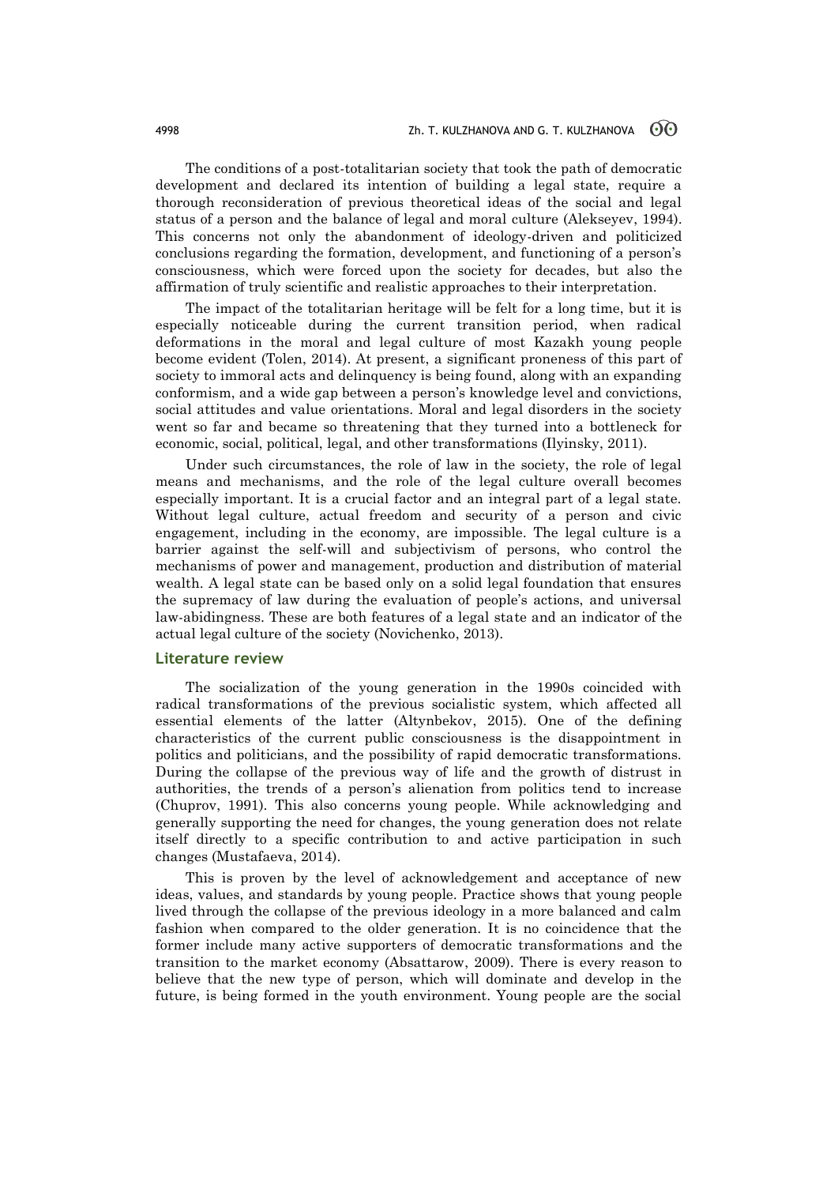The conditions of a post-totalitarian society that took the path of democratic development and declared its intention of building a legal state, require a thorough reconsideration of previous theoretical ideas of the social and legal status of a person and the balance of legal and moral culture (Alekseyev, 1994). This concerns not only the abandonment of ideology-driven and politicized conclusions regarding the formation, development, and functioning of a person's consciousness, which were forced upon the society for decades, but also the affirmation of truly scientific and realistic approaches to their interpretation.

The impact of the totalitarian heritage will be felt for a long time, but it is especially noticeable during the current transition period, when radical deformations in the moral and legal culture of most Kazakh young people become evident (Tolen, 2014). At present, a significant proneness of this part of society to immoral acts and delinquency is being found, along with an expanding conformism, and a wide gap between a person's knowledge level and convictions, social attitudes and value orientations. Moral and legal disorders in the society went so far and became so threatening that they turned into a bottleneck for economic, social, political, legal, and other transformations (Ilyinsky, 2011).

Under such circumstances, the role of law in the society, the role of legal means and mechanisms, and the role of the legal culture overall becomes especially important. It is a crucial factor and an integral part of a legal state. Without legal culture, actual freedom and security of a person and civic engagement, including in the economy, are impossible. The legal culture is a barrier against the self-will and subjectivism of persons, who control the mechanisms of power and management, production and distribution of material wealth. A legal state can be based only on a solid legal foundation that ensures the supremacy of law during the evaluation of people's actions, and universal law-abidingness. These are both features of a legal state and an indicator of the actual legal culture of the society (Novichenko, 2013).

## **Literature review**

The socialization of the young generation in the 1990s coincided with radical transformations of the previous socialistic system, which affected all essential elements of the latter (Altynbekov, 2015). One of the defining characteristics of the current public consciousness is the disappointment in politics and politicians, and the possibility of rapid democratic transformations. During the collapse of the previous way of life and the growth of distrust in authorities, the trends of a person's alienation from politics tend to increase (Chuprov, 1991). This also concerns young people. While acknowledging and generally supporting the need for changes, the young generation does not relate itself directly to a specific contribution to and active participation in such changes (Mustafaeva, 2014).

This is proven by the level of acknowledgement and acceptance of new ideas, values, and standards by young people. Practice shows that young people lived through the collapse of the previous ideology in a more balanced and calm fashion when compared to the older generation. It is no coincidence that the former include many active supporters of democratic transformations and the transition to the market economy (Absattarow, 2009). There is every reason to believe that the new type of person, which will dominate and develop in the future, is being formed in the youth environment. Young people are the social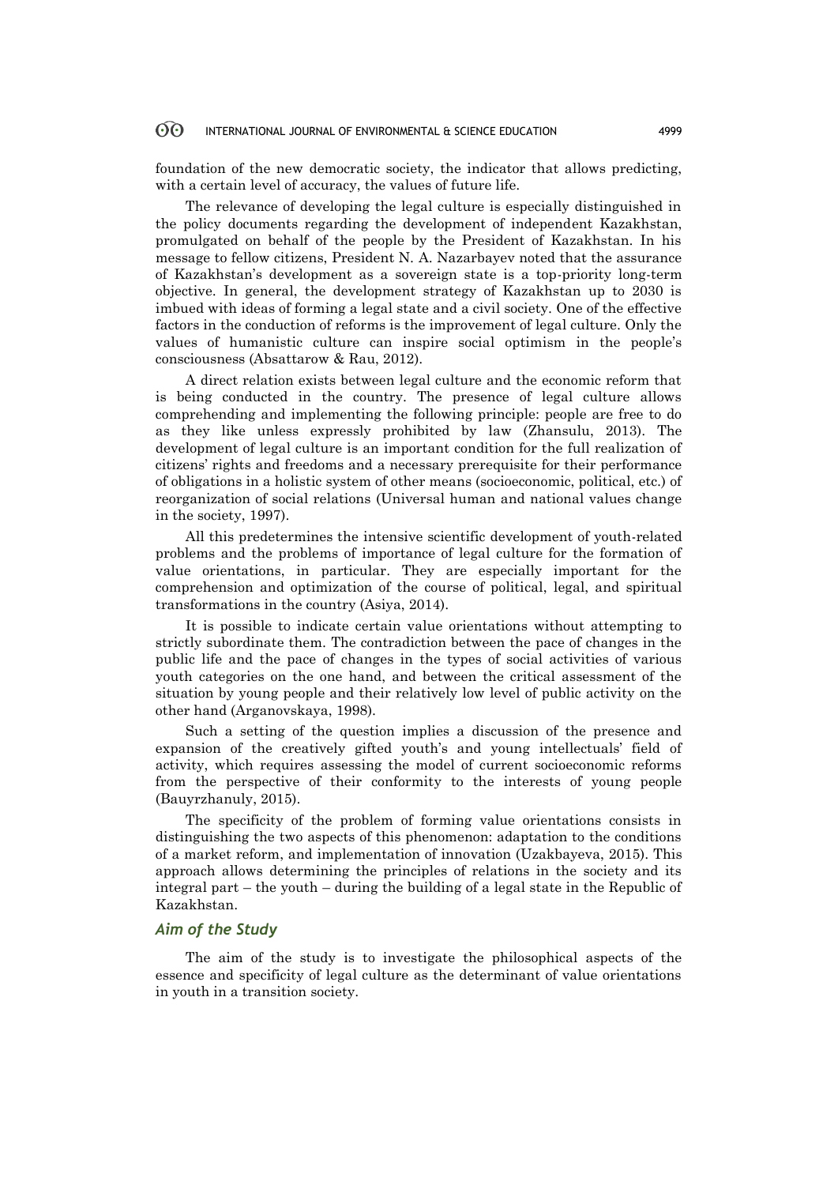### 60 INTERNATIONAL JOURNAL OF ENVIRONMENTAL & SCIENCE EDUCATION 4999

foundation of the new democratic society, the indicator that allows predicting, with a certain level of accuracy, the values of future life.

The relevance of developing the legal culture is especially distinguished in the policy documents regarding the development of independent Kazakhstan, promulgated on behalf of the people by the President of Kazakhstan. In his message to fellow citizens, President N. A. Nazarbayev noted that the assurance of Kazakhstan's development as a sovereign state is a top-priority long-term objective. In general, the development strategy of Kazakhstan up to 2030 is imbued with ideas of forming a legal state and a civil society. One of the effective factors in the conduction of reforms is the improvement of legal culture. Only the values of humanistic culture can inspire social optimism in the people's consciousness (Absattarow & Rau, 2012).

A direct relation exists between legal culture and the economic reform that is being conducted in the country. The presence of legal culture allows comprehending and implementing the following principle: people are free to do as they like unless expressly prohibited by law (Zhansulu, 2013). The development of legal culture is an important condition for the full realization of citizens' rights and freedoms and a necessary prerequisite for their performance of obligations in a holistic system of other means (socioeconomic, political, etc.) of reorganization of social relations (Universal human and national values change in the society, 1997).

All this predetermines the intensive scientific development of youth-related problems and the problems of importance of legal culture for the formation of value orientations, in particular. They are especially important for the comprehension and optimization of the course of political, legal, and spiritual transformations in the country (Asiya, 2014).

It is possible to indicate certain value orientations without attempting to strictly subordinate them. The contradiction between the pace of changes in the public life and the pace of changes in the types of social activities of various youth categories on the one hand, and between the critical assessment of the situation by young people and their relatively low level of public activity on the other hand (Arganovskaya, 1998).

Such a setting of the question implies a discussion of the presence and expansion of the creatively gifted youth's and young intellectuals' field of activity, which requires assessing the model of current socioeconomic reforms from the perspective of their conformity to the interests of young people (Bauyrzhanuly, 2015).

The specificity of the problem of forming value orientations consists in distinguishing the two aspects of this phenomenon: adaptation to the conditions of a market reform, and implementation of innovation (Uzakbayeva, 2015). This approach allows determining the principles of relations in the society and its integral part – the youth – during the building of a legal state in the Republic of Kazakhstan.

## *Aim of the Study*

The aim of the study is to investigate the philosophical aspects of the essence and specificity of legal culture as the determinant of value orientations in youth in a transition society.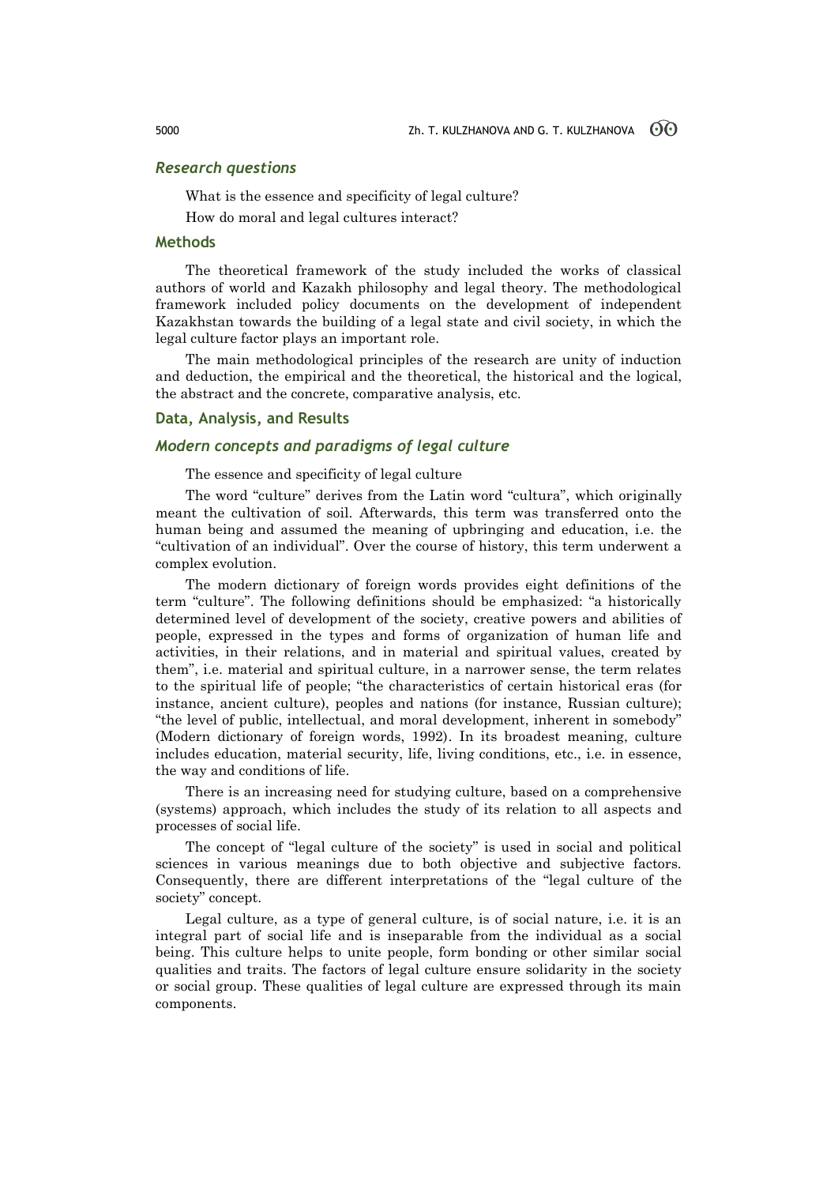## *Research questions*

What is the essence and specificity of legal culture?

How do moral and legal cultures interact?

## **Methods**

The theoretical framework of the study included the works of classical authors of world and Kazakh philosophy and legal theory. The methodological framework included policy documents on the development of independent Kazakhstan towards the building of a legal state and civil society, in which the legal culture factor plays an important role.

The main methodological principles of the research are unity of induction and deduction, the empirical and the theoretical, the historical and the logical, the abstract and the concrete, comparative analysis, etc.

## **Data, Analysis, and Results**

## *Modern concepts and paradigms of legal culture*

The essence and specificity of legal culture

The word "culture" derives from the Latin word "cultura", which originally meant the cultivation of soil. Afterwards, this term was transferred onto the human being and assumed the meaning of upbringing and education, i.e. the "cultivation of an individual". Over the course of history, this term underwent a complex evolution.

The modern dictionary of foreign words provides eight definitions of the term "culture". The following definitions should be emphasized: "a historically determined level of development of the society, creative powers and abilities of people, expressed in the types and forms of organization of human life and activities, in their relations, and in material and spiritual values, created by them", i.e. material and spiritual culture, in a narrower sense, the term relates to the spiritual life of people; "the characteristics of certain historical eras (for instance, ancient culture), peoples and nations (for instance, Russian culture); "the level of public, intellectual, and moral development, inherent in somebody" (Modern dictionary of foreign words, 1992). In its broadest meaning, culture includes education, material security, life, living conditions, etc., i.e. in essence, the way and conditions of life.

There is an increasing need for studying culture, based on a comprehensive (systems) approach, which includes the study of its relation to all aspects and processes of social life.

The concept of "legal culture of the society" is used in social and political sciences in various meanings due to both objective and subjective factors. Consequently, there are different interpretations of the "legal culture of the society" concept.

Legal culture, as a type of general culture, is of social nature, i.e. it is an integral part of social life and is inseparable from the individual as a social being. This culture helps to unite people, form bonding or other similar social qualities and traits. The factors of legal culture ensure solidarity in the society or social group. These qualities of legal culture are expressed through its main components.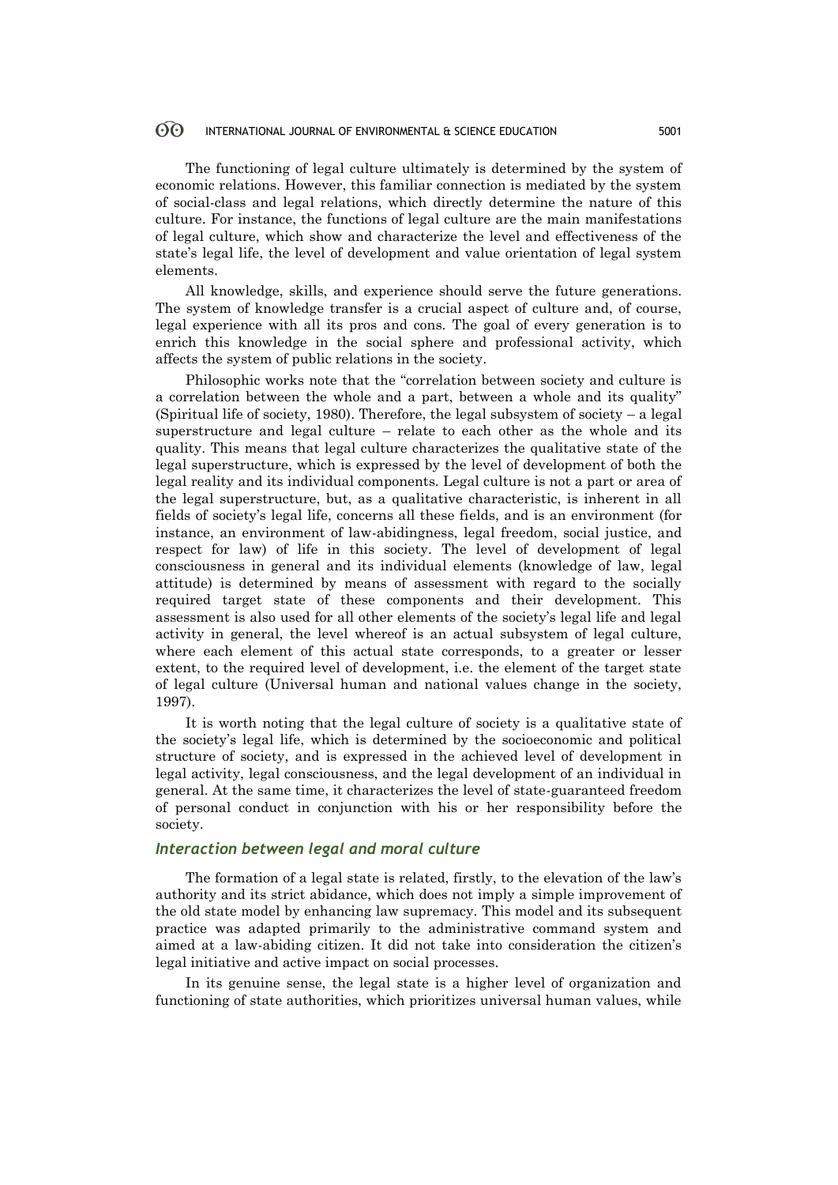### 60 INTERNATIONAL JOURNAL OF ENVIRONMENTAL & SCIENCE EDUCATION 5001

The functioning of legal culture ultimately is determined by the system of economic relations. However, this familiar connection is mediated by the system of social-class and legal relations, which directly determine the nature of this culture. For instance, the functions of legal culture are the main manifestations of legal culture, which show and characterize the level and effectiveness of the state's legal life, the level of development and value orientation of legal system elements.

All knowledge, skills, and experience should serve the future generations. The system of knowledge transfer is a crucial aspect of culture and, of course, legal experience with all its pros and cons. The goal of every generation is to enrich this knowledge in the social sphere and professional activity, which affects the system of public relations in the society.

Philosophic works note that the "correlation between society and culture is a correlation between the whole and a part, between a whole and its quality" (Spiritual life of society, 1980). Therefore, the legal subsystem of society – a legal superstructure and legal culture – relate to each other as the whole and its quality. This means that legal culture characterizes the qualitative state of the legal superstructure, which is expressed by the level of development of both the legal reality and its individual components. Legal culture is not a part or area of the legal superstructure, but, as a qualitative characteristic, is inherent in all fields of society's legal life, concerns all these fields, and is an environment (for instance, an environment of law-abidingness, legal freedom, social justice, and respect for law) of life in this society. The level of development of legal consciousness in general and its individual elements (knowledge of law, legal attitude) is determined by means of assessment with regard to the socially required target state of these components and their development. This assessment is also used for all other elements of the society's legal life and legal activity in general, the level whereof is an actual subsystem of legal culture, where each element of this actual state corresponds, to a greater or lesser extent, to the required level of development, i.e. the element of the target state of legal culture (Universal human and national values change in the society, 1997).

It is worth noting that the legal culture of society is a qualitative state of the society's legal life, which is determined by the socioeconomic and political structure of society, and is expressed in the achieved level of development in legal activity, legal consciousness, and the legal development of an individual in general. At the same time, it characterizes the level of state-guaranteed freedom of personal conduct in conjunction with his or her responsibility before the society.

## *Interaction between legal and moral culture*

The formation of a legal state is related, firstly, to the elevation of the law's authority and its strict abidance, which does not imply a simple improvement of the old state model by enhancing law supremacy. This model and its subsequent practice was adapted primarily to the administrative command system and aimed at a law-abiding citizen. It did not take into consideration the citizen's legal initiative and active impact on social processes.

In its genuine sense, the legal state is a higher level of organization and functioning of state authorities, which prioritizes universal human values, while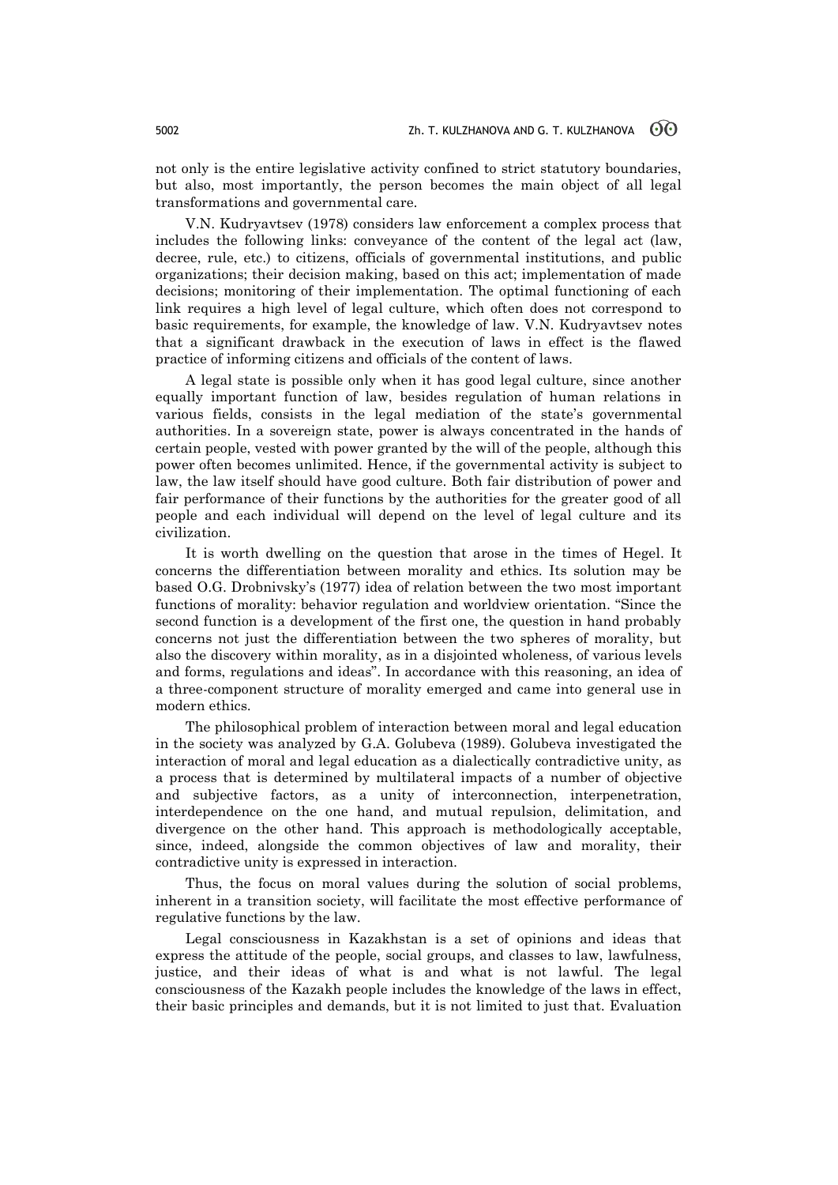not only is the entire legislative activity confined to strict statutory boundaries, but also, most importantly, the person becomes the main object of all legal transformations and governmental care.

V.N. Kudryavtsev (1978) considers law enforcement a complex process that includes the following links: conveyance of the content of the legal act (law, decree, rule, etc.) to citizens, officials of governmental institutions, and public organizations; their decision making, based on this act; implementation of made decisions; monitoring of their implementation. The optimal functioning of each link requires a high level of legal culture, which often does not correspond to basic requirements, for example, the knowledge of law. V.N. Kudryavtsev notes that a significant drawback in the execution of laws in effect is the flawed practice of informing citizens and officials of the content of laws.

A legal state is possible only when it has good legal culture, since another equally important function of law, besides regulation of human relations in various fields, consists in the legal mediation of the state's governmental authorities. In a sovereign state, power is always concentrated in the hands of certain people, vested with power granted by the will of the people, although this power often becomes unlimited. Hence, if the governmental activity is subject to law, the law itself should have good culture. Both fair distribution of power and fair performance of their functions by the authorities for the greater good of all people and each individual will depend on the level of legal culture and its civilization.

It is worth dwelling on the question that arose in the times of Hegel. It concerns the differentiation between morality and ethics. Its solution may be based O.G. Drobnivsky's (1977) idea of relation between the two most important functions of morality: behavior regulation and worldview orientation. "Since the second function is a development of the first one, the question in hand probably concerns not just the differentiation between the two spheres of morality, but also the discovery within morality, as in a disjointed wholeness, of various levels and forms, regulations and ideas". In accordance with this reasoning, an idea of a three-component structure of morality emerged and came into general use in modern ethics.

The philosophical problem of interaction between moral and legal education in the society was analyzed by G.A. Golubeva (1989). Golubeva investigated the interaction of moral and legal education as a dialectically contradictive unity, as a process that is determined by multilateral impacts of a number of objective and subjective factors, as a unity of interconnection, interpenetration, interdependence on the one hand, and mutual repulsion, delimitation, and divergence on the other hand. This approach is methodologically acceptable, since, indeed, alongside the common objectives of law and morality, their contradictive unity is expressed in interaction.

Thus, the focus on moral values during the solution of social problems, inherent in a transition society, will facilitate the most effective performance of regulative functions by the law.

Legal consciousness in Kazakhstan is a set of opinions and ideas that express the attitude of the people, social groups, and classes to law, lawfulness, justice, and their ideas of what is and what is not lawful. The legal consciousness of the Kazakh people includes the knowledge of the laws in effect, their basic principles and demands, but it is not limited to just that. Evaluation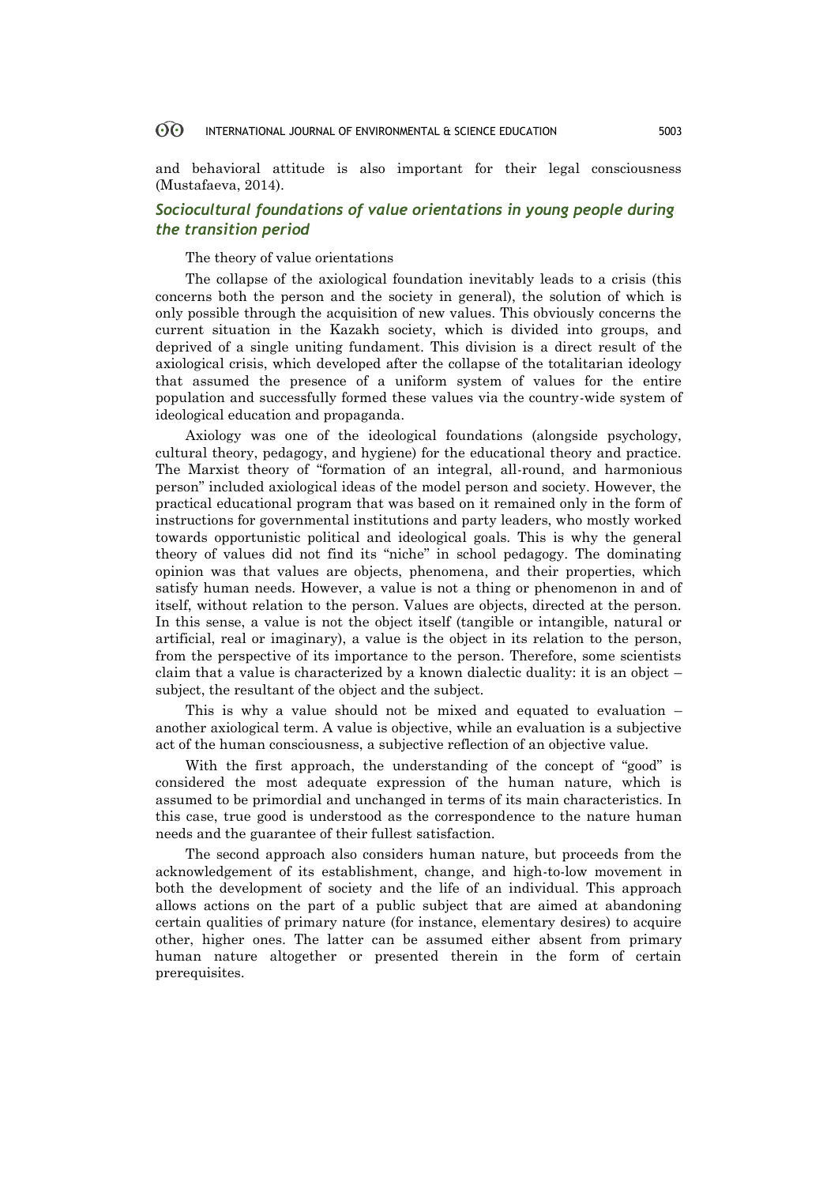and behavioral attitude is also important for their legal consciousness (Mustafaeva, 2014).

## *Sociocultural foundations of value orientations in young people during the transition period*

## The theory of value orientations

The collapse of the axiological foundation inevitably leads to a crisis (this concerns both the person and the society in general), the solution of which is only possible through the acquisition of new values. This obviously concerns the current situation in the Kazakh society, which is divided into groups, and deprived of a single uniting fundament. This division is a direct result of the axiological crisis, which developed after the collapse of the totalitarian ideology that assumed the presence of a uniform system of values for the entire population and successfully formed these values via the country-wide system of ideological education and propaganda.

Axiology was one of the ideological foundations (alongside psychology, cultural theory, pedagogy, and hygiene) for the educational theory and practice. The Marxist theory of "formation of an integral, all-round, and harmonious person" included axiological ideas of the model person and society. However, the practical educational program that was based on it remained only in the form of instructions for governmental institutions and party leaders, who mostly worked towards opportunistic political and ideological goals. This is why the general theory of values did not find its "niche" in school pedagogy. The dominating opinion was that values are objects, phenomena, and their properties, which satisfy human needs. However, a value is not a thing or phenomenon in and of itself, without relation to the person. Values are objects, directed at the person. In this sense, a value is not the object itself (tangible or intangible, natural or artificial, real or imaginary), a value is the object in its relation to the person, from the perspective of its importance to the person. Therefore, some scientists claim that a value is characterized by a known dialectic duality: it is an object – subject, the resultant of the object and the subject.

This is why a value should not be mixed and equated to evaluation – another axiological term. A value is objective, while an evaluation is a subjective act of the human consciousness, a subjective reflection of an objective value.

With the first approach, the understanding of the concept of "good" is considered the most adequate expression of the human nature, which is assumed to be primordial and unchanged in terms of its main characteristics. In this case, true good is understood as the correspondence to the nature human needs and the guarantee of their fullest satisfaction.

The second approach also considers human nature, but proceeds from the acknowledgement of its establishment, change, and high-to-low movement in both the development of society and the life of an individual. This approach allows actions on the part of a public subject that are aimed at abandoning certain qualities of primary nature (for instance, elementary desires) to acquire other, higher ones. The latter can be assumed either absent from primary human nature altogether or presented therein in the form of certain prerequisites.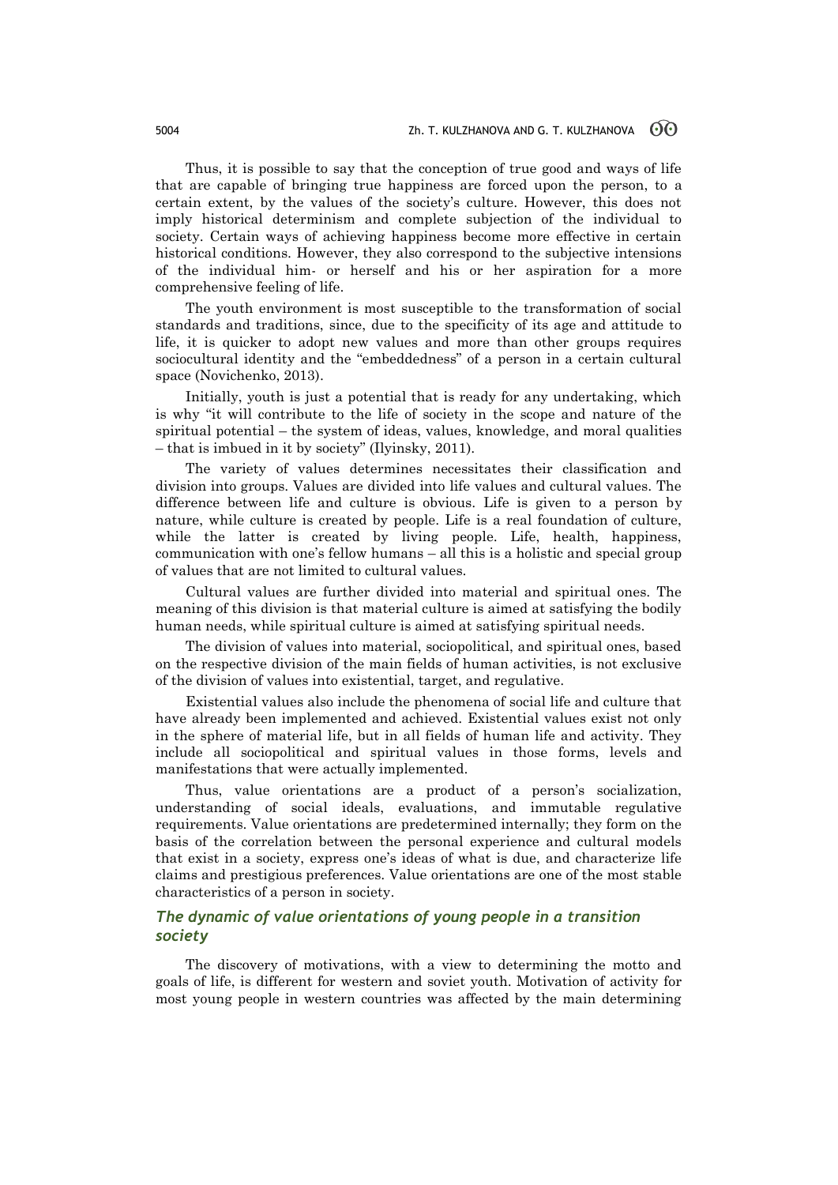Thus, it is possible to say that the conception of true good and ways of life that are capable of bringing true happiness are forced upon the person, to a certain extent, by the values of the society's culture. However, this does not imply historical determinism and complete subjection of the individual to society. Certain ways of achieving happiness become more effective in certain historical conditions. However, they also correspond to the subjective intensions of the individual him- or herself and his or her aspiration for a more comprehensive feeling of life.

The youth environment is most susceptible to the transformation of social standards and traditions, since, due to the specificity of its age and attitude to life, it is quicker to adopt new values and more than other groups requires sociocultural identity and the "embeddedness" of a person in a certain cultural space (Novichenko, 2013).

Initially, youth is just a potential that is ready for any undertaking, which is why "it will contribute to the life of society in the scope and nature of the spiritual potential – the system of ideas, values, knowledge, and moral qualities – that is imbued in it by society" (Ilyinsky, 2011).

The variety of values determines necessitates their classification and division into groups. Values are divided into life values and cultural values. The difference between life and culture is obvious. Life is given to a person by nature, while culture is created by people. Life is a real foundation of culture, while the latter is created by living people. Life, health, happiness, communication with one's fellow humans – all this is a holistic and special group of values that are not limited to cultural values.

Cultural values are further divided into material and spiritual ones. The meaning of this division is that material culture is aimed at satisfying the bodily human needs, while spiritual culture is aimed at satisfying spiritual needs.

The division of values into material, sociopolitical, and spiritual ones, based on the respective division of the main fields of human activities, is not exclusive of the division of values into existential, target, and regulative.

Existential values also include the phenomena of social life and culture that have already been implemented and achieved. Existential values exist not only in the sphere of material life, but in all fields of human life and activity. They include all sociopolitical and spiritual values in those forms, levels and manifestations that were actually implemented.

Thus, value orientations are a product of a person's socialization, understanding of social ideals, evaluations, and immutable regulative requirements. Value orientations are predetermined internally; they form on the basis of the correlation between the personal experience and cultural models that exist in a society, express one's ideas of what is due, and characterize life claims and prestigious preferences. Value orientations are one of the most stable characteristics of a person in society.

## *The dynamic of value orientations of young people in a transition society*

The discovery of motivations, with a view to determining the motto and goals of life, is different for western and soviet youth. Motivation of activity for most young people in western countries was affected by the main determining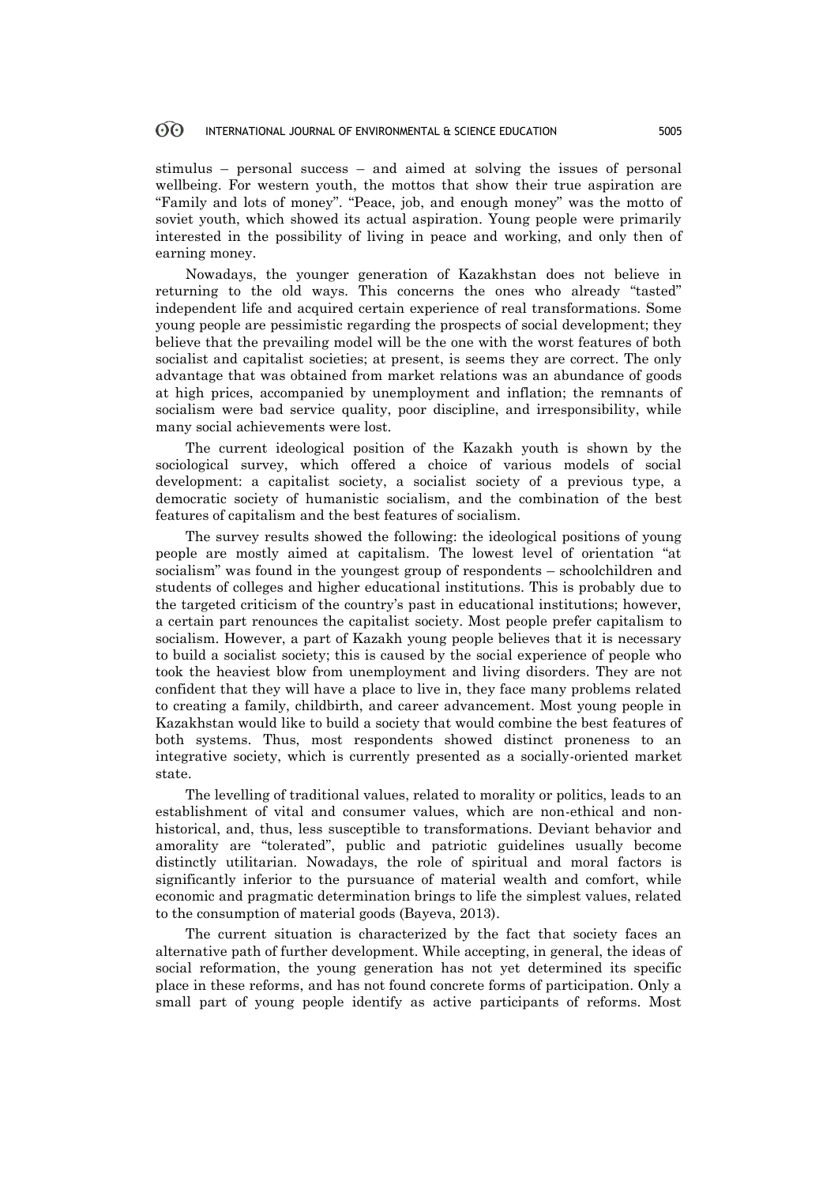### **ගි** INTERNATIONAL JOURNAL OF ENVIRONMENTAL & SCIENCE EDUCATION 5005

stimulus – personal success – and aimed at solving the issues of personal wellbeing. For western youth, the mottos that show their true aspiration are "Family and lots of money". "Peace, job, and enough money" was the motto of soviet youth, which showed its actual aspiration. Young people were primarily interested in the possibility of living in peace and working, and only then of earning money.

Nowadays, the younger generation of Kazakhstan does not believe in returning to the old ways. This concerns the ones who already "tasted" independent life and acquired certain experience of real transformations. Some young people are pessimistic regarding the prospects of social development; they believe that the prevailing model will be the one with the worst features of both socialist and capitalist societies; at present, is seems they are correct. The only advantage that was obtained from market relations was an abundance of goods at high prices, accompanied by unemployment and inflation; the remnants of socialism were bad service quality, poor discipline, and irresponsibility, while many social achievements were lost.

The current ideological position of the Kazakh youth is shown by the sociological survey, which offered a choice of various models of social development: a capitalist society, a socialist society of a previous type, a democratic society of humanistic socialism, and the combination of the best features of capitalism and the best features of socialism.

The survey results showed the following: the ideological positions of young people are mostly aimed at capitalism. The lowest level of orientation "at socialism" was found in the youngest group of respondents – schoolchildren and students of colleges and higher educational institutions. This is probably due to the targeted criticism of the country's past in educational institutions; however, a certain part renounces the capitalist society. Most people prefer capitalism to socialism. However, a part of Kazakh young people believes that it is necessary to build a socialist society; this is caused by the social experience of people who took the heaviest blow from unemployment and living disorders. They are not confident that they will have a place to live in, they face many problems related to creating a family, childbirth, and career advancement. Most young people in Kazakhstan would like to build a society that would combine the best features of both systems. Thus, most respondents showed distinct proneness to an integrative society, which is currently presented as a socially-oriented market state.

The levelling of traditional values, related to morality or politics, leads to an establishment of vital and consumer values, which are non-ethical and nonhistorical, and, thus, less susceptible to transformations. Deviant behavior and amorality are "tolerated", public and patriotic guidelines usually become distinctly utilitarian. Nowadays, the role of spiritual and moral factors is significantly inferior to the pursuance of material wealth and comfort, while economic and pragmatic determination brings to life the simplest values, related to the consumption of material goods (Bayeva, 2013).

The current situation is characterized by the fact that society faces an alternative path of further development. While accepting, in general, the ideas of social reformation, the young generation has not yet determined its specific place in these reforms, and has not found concrete forms of participation. Only a small part of young people identify as active participants of reforms. Most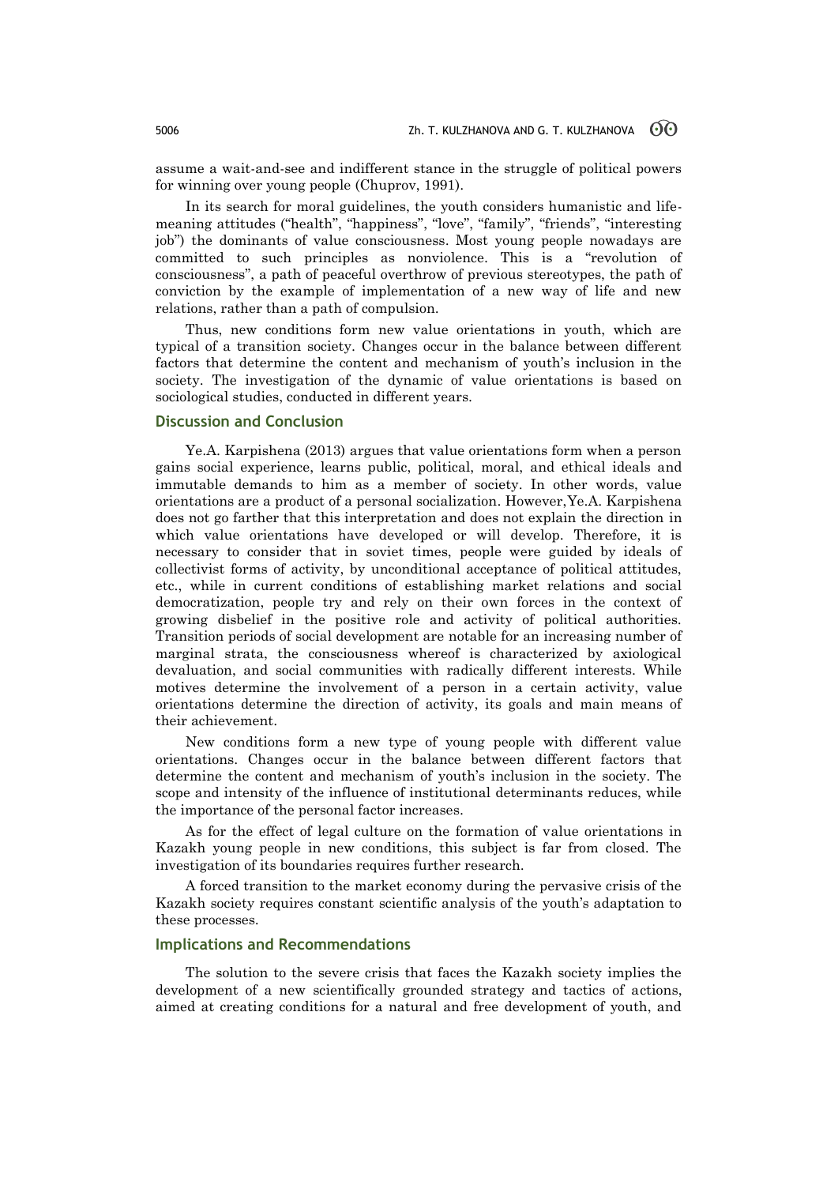assume a wait-and-see and indifferent stance in the struggle of political powers for winning over young people (Chuprov, 1991).

In its search for moral guidelines, the youth considers humanistic and lifemeaning attitudes ("health", "happiness", "love", "family", "friends", "interesting job") the dominants of value consciousness. Most young people nowadays are committed to such principles as nonviolence. This is a "revolution of consciousness", a path of peaceful overthrow of previous stereotypes, the path of conviction by the example of implementation of a new way of life and new relations, rather than a path of compulsion.

Thus, new conditions form new value orientations in youth, which are typical of a transition society. Changes occur in the balance between different factors that determine the content and mechanism of youth's inclusion in the society. The investigation of the dynamic of value orientations is based on sociological studies, conducted in different years.

## **Discussion and Conclusion**

Ye.A. Karpishena (2013) argues that value orientations form when a person gains social experience, learns public, political, moral, and ethical ideals and immutable demands to him as a member of society. In other words, value orientations are a product of a personal socialization. However,Ye.A. Karpishena does not go farther that this interpretation and does not explain the direction in which value orientations have developed or will develop. Therefore, it is necessary to consider that in soviet times, people were guided by ideals of collectivist forms of activity, by unconditional acceptance of political attitudes, etc., while in current conditions of establishing market relations and social democratization, people try and rely on their own forces in the context of growing disbelief in the positive role and activity of political authorities. Transition periods of social development are notable for an increasing number of marginal strata, the consciousness whereof is characterized by axiological devaluation, and social communities with radically different interests. While motives determine the involvement of a person in a certain activity, value orientations determine the direction of activity, its goals and main means of their achievement.

New conditions form a new type of young people with different value orientations. Changes occur in the balance between different factors that determine the content and mechanism of youth's inclusion in the society. The scope and intensity of the influence of institutional determinants reduces, while the importance of the personal factor increases.

As for the effect of legal culture on the formation of value orientations in Kazakh young people in new conditions, this subject is far from closed. The investigation of its boundaries requires further research.

A forced transition to the market economy during the pervasive crisis of the Kazakh society requires constant scientific analysis of the youth's adaptation to these processes.

## **Implications and Recommendations**

The solution to the severe crisis that faces the Kazakh society implies the development of a new scientifically grounded strategy and tactics of actions, aimed at creating conditions for a natural and free development of youth, and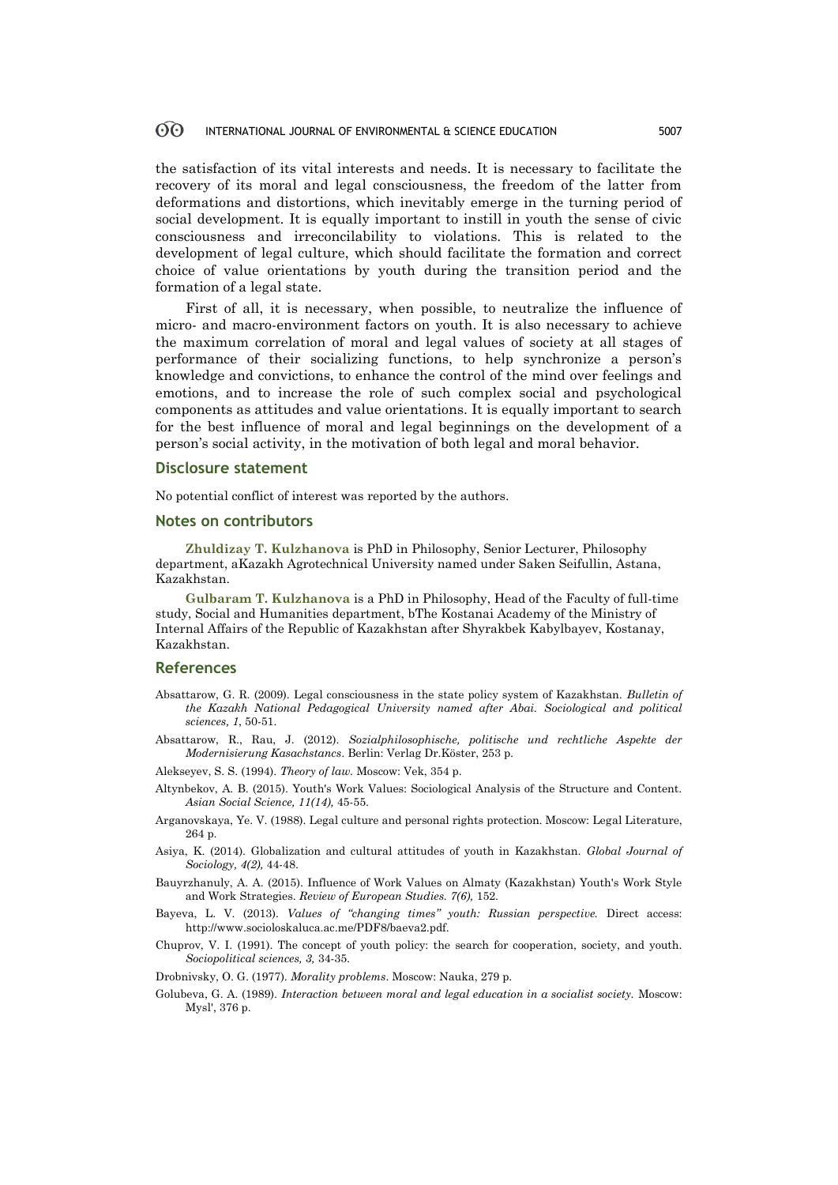#### 60 INTERNATIONAL JOURNAL OF ENVIRONMENTAL & SCIENCE EDUCATION 5007

the satisfaction of its vital interests and needs. It is necessary to facilitate the recovery of its moral and legal consciousness, the freedom of the latter from deformations and distortions, which inevitably emerge in the turning period of social development. It is equally important to instill in youth the sense of civic consciousness and irreconcilability to violations. This is related to the development of legal culture, which should facilitate the formation and correct choice of value orientations by youth during the transition period and the formation of a legal state.

First of all, it is necessary, when possible, to neutralize the influence of micro- and macro-environment factors on youth. It is also necessary to achieve the maximum correlation of moral and legal values of society at all stages of performance of their socializing functions, to help synchronize a person's knowledge and convictions, to enhance the control of the mind over feelings and emotions, and to increase the role of such complex social and psychological components as attitudes and value orientations. It is equally important to search for the best influence of moral and legal beginnings on the development of a person's social activity, in the motivation of both legal and moral behavior.

## **Disclosure statement**

No potential conflict of interest was reported by the authors.

### **Notes on contributors**

**Zhuldizay T. Kulzhanova** is PhD in Philosophy, Senior Lecturer, Philosophy department, aKazakh Agrotechnical University named under Saken Seifullin, Astana, Kazakhstan.

**Gulbaram T. Kulzhanova** is a PhD in Philosophy, Head of the Faculty of full-time study, Social and Humanities department, bThe Kostanai Academy of the Ministry of Internal Affairs of the Republic of Kazakhstan after Shyrakbek Kabylbayev, Kostanay, Kazakhstan.

## **References**

- Absattarow, G. R. (2009). Legal consciousness in the state policy system of Kazakhstan. *Bulletin of the Kazakh National Pedagogical University named after Abai. Sociological and political sciences, 1*, 50-51.
- Absattarow, R., Rau, J. (2012). *Sozialphilosophische, politische und rechtliche Aspekte der Modernisierung Kasachstancs*. Berlin: Verlag Dr.Köster, 253 p.
- Alekseyev, S. S. (1994). *Theory of law.* Moscow: Vek, 354 p.
- Altynbekov, A. B. (2015). Youth's Work Values: Sociological Analysis of the Structure and Content. *Asian Social Science, 11(14),* 45-55.
- Arganovskaya, Ye. V. (1988). Legal culture and personal rights protection. Moscow: Legal Literature, 264 p.
- Asiya, K. (2014). Globalization and cultural attitudes of youth in Kazakhstan. *Global Journal of Sociology, 4(2),* 44-48.
- Bauyrzhanuly, A. A. (2015). Influence of Work Values on Almaty (Kazakhstan) Youth's Work Style and Work Strategies. *Review of European Studies. 7(6),* 152.
- Bayeva, L. V. (2013). *Values of "changing times" youth: Russian perspective.* Direct access: http://www.socioloskaluca.ac.me/PDF8/baeva2.pdf.

Chuprov, V. I. (1991). The concept of youth policy: the search for cooperation, society, and youth. *Sociopolitical sciences, 3,* 34-35.

Drobnivsky, O. G. (1977). *Morality problems*. Moscow: Nauka, 279 p.

Golubeva, G. A. (1989). *Interaction between moral and legal education in a socialist society.* Moscow: Mysl', 376 p.